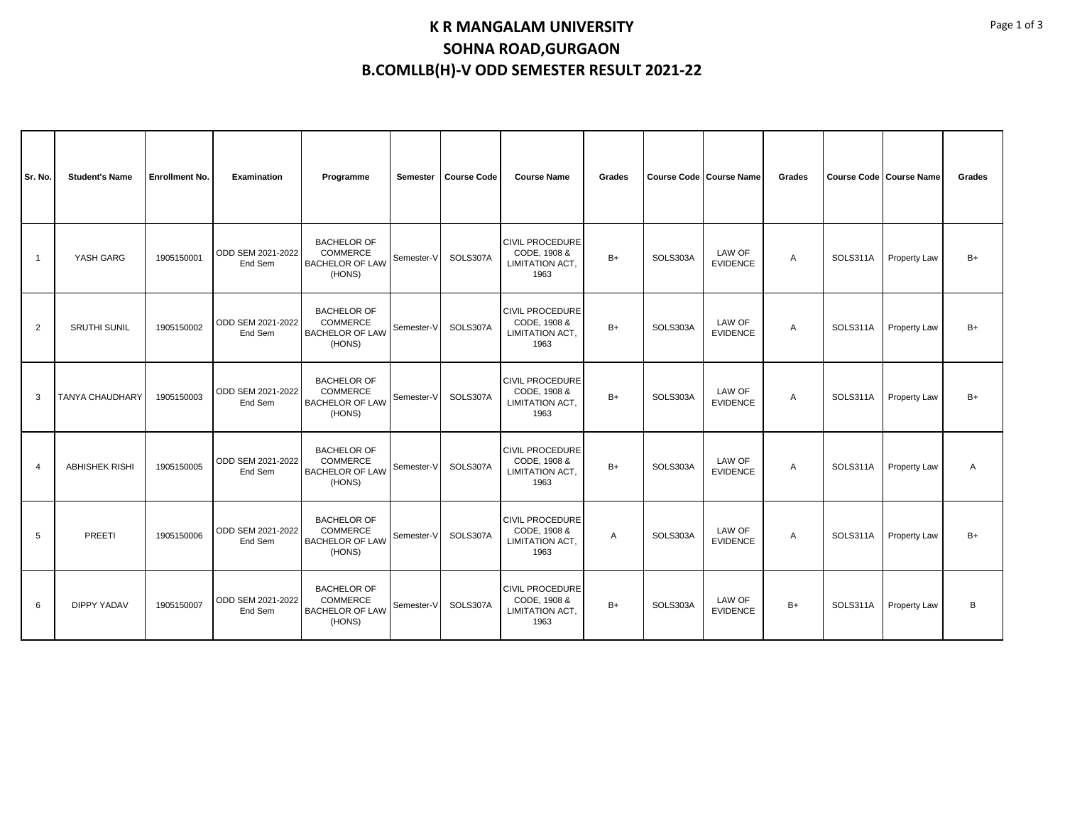## **K R MANGALAM UNIVERSITY SOHNA ROAD,GURGAON B.COMLLB(H)-V ODD SEMESTER RESULT 2021-22**

| Sr. No.        | <b>Student's Name</b> | <b>Enrollment No.</b> | Examination                  | Programme                                                                 | Semester   | <b>Course Code</b> | <b>Course Name</b>                                                | Grades       |          | <b>Course Code   Course Name</b> | Grades       | <b>Course Code   Course Name</b> |              | Grades |
|----------------|-----------------------|-----------------------|------------------------------|---------------------------------------------------------------------------|------------|--------------------|-------------------------------------------------------------------|--------------|----------|----------------------------------|--------------|----------------------------------|--------------|--------|
| $\overline{1}$ | YASH GARG             | 1905150001            | ODD SEM 2021-2022<br>End Sem | <b>BACHELOR OF</b><br><b>COMMERCE</b><br><b>BACHELOR OF LAW</b><br>(HONS) | Semester-V | SOLS307A           | <b>CIVIL PROCEDURE</b><br>CODE, 1908 &<br>LIMITATION ACT.<br>1963 | $B+$         | SOLS303A | LAW OF<br><b>EVIDENCE</b>        | A            | SOLS311A                         | Property Law | $B+$   |
| $\overline{2}$ | <b>SRUTHI SUNIL</b>   | 1905150002            | ODD SEM 2021-2022<br>End Sem | <b>BACHELOR OF</b><br>COMMERCE<br><b>BACHELOR OF LAW</b><br>(HONS)        | Semester-V | SOLS307A           | <b>CIVIL PROCEDURE</b><br>CODE, 1908 &<br>LIMITATION ACT.<br>1963 | $B+$         | SOLS303A | LAW OF<br><b>EVIDENCE</b>        | A            | SOLS311A                         | Property Law | B+     |
| 3              | TANYA CHAUDHARY       | 1905150003            | ODD SEM 2021-2022<br>End Sem | <b>BACHELOR OF</b><br>COMMERCE<br><b>BACHELOR OF LAW</b><br>(HONS)        | Semester-V | SOLS307A           | <b>CIVIL PROCEDURE</b><br>CODE, 1908 &<br>LIMITATION ACT.<br>1963 | $B+$         | SOLS303A | LAW OF<br><b>EVIDENCE</b>        | $\mathsf{A}$ | SOLS311A                         | Property Law | $B+$   |
| $\overline{4}$ | <b>ABHISHEK RISHI</b> | 1905150005            | ODD SEM 2021-2022<br>End Sem | <b>BACHELOR OF</b><br>COMMERCE<br><b>BACHELOR OF LAW</b><br>(HONS)        | Semester-V | SOLS307A           | <b>CIVIL PROCEDURE</b><br>CODE, 1908 &<br>LIMITATION ACT,<br>1963 | $B+$         | SOLS303A | LAW OF<br><b>EVIDENCE</b>        | $\mathsf{A}$ | SOLS311A                         | Property Law | Α      |
| 5              | PREETI                | 1905150006            | ODD SEM 2021-2022<br>End Sem | <b>BACHELOR OF</b><br><b>COMMERCE</b><br><b>BACHELOR OF LAW</b><br>(HONS) | Semester-V | SOLS307A           | <b>CIVIL PROCEDURE</b><br>CODE, 1908 &<br>LIMITATION ACT.<br>1963 | $\mathsf{A}$ | SOLS303A | LAW OF<br><b>EVIDENCE</b>        | $\mathsf{A}$ | SOLS311A                         | Property Law | B+     |
| 6              | DIPPY YADAV           | 1905150007            | ODD SEM 2021-2022<br>End Sem | <b>BACHELOR OF</b><br>COMMERCE<br><b>BACHELOR OF LAW</b><br>(HONS)        | Semester-V | SOLS307A           | <b>CIVIL PROCEDURE</b><br>CODE, 1908 &<br>LIMITATION ACT.<br>1963 | $B+$         | SOLS303A | LAW OF<br><b>EVIDENCE</b>        | $B+$         | SOLS311A                         | Property Law | B      |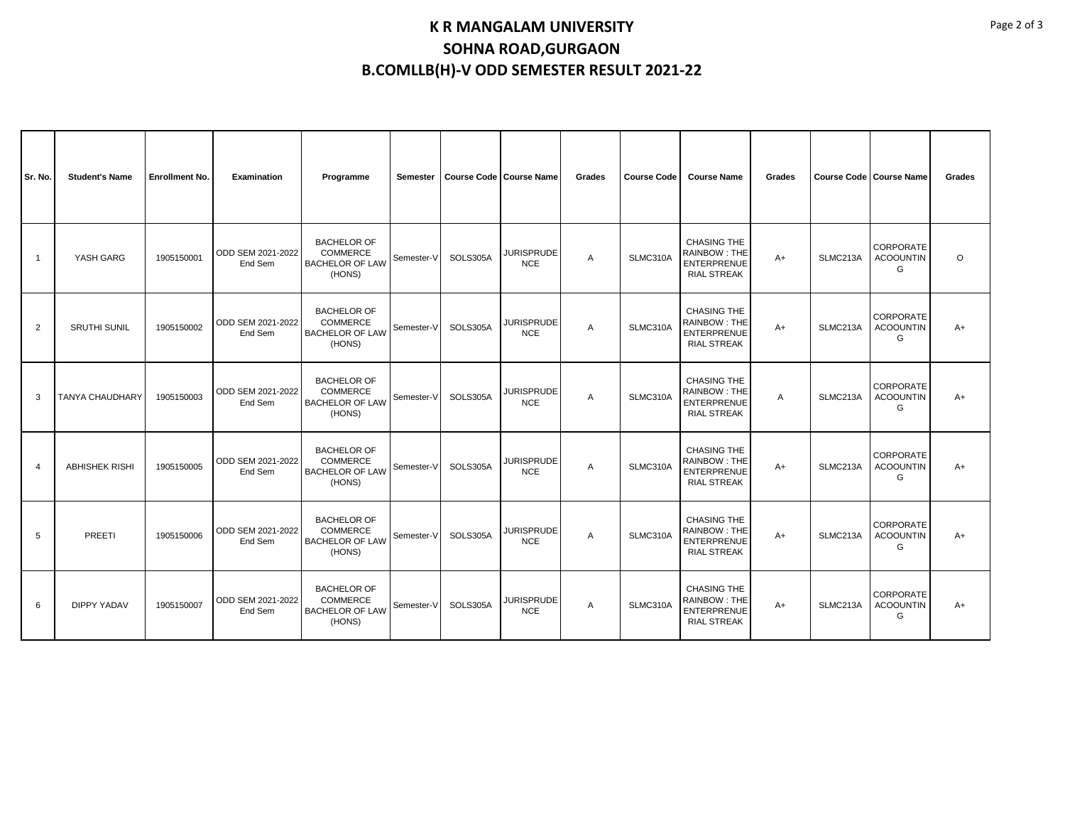## **K R MANGALAM UNIVERSITY SOHNA ROAD,GURGAON B.COMLLB(H)-V ODD SEMESTER RESULT 2021-22**

| Sr. No.        | <b>Student's Name</b>  | <b>Enrollment No.</b> | Examination                  | Programme                                                                 | <b>Semester</b> | <b>Course Code   Course Name</b> |                                 | Grades         | <b>Course Code</b> | <b>Course Name</b>                                                                    | Grades | <b>Course Code Course Name</b> |                                           | Grades  |
|----------------|------------------------|-----------------------|------------------------------|---------------------------------------------------------------------------|-----------------|----------------------------------|---------------------------------|----------------|--------------------|---------------------------------------------------------------------------------------|--------|--------------------------------|-------------------------------------------|---------|
| $\overline{1}$ | YASH GARG              | 1905150001            | ODD SEM 2021-2022<br>End Sem | <b>BACHELOR OF</b><br><b>COMMERCE</b><br><b>BACHELOR OF LAW</b><br>(HONS) | Semester-V      | SOLS305A                         | <b>JURISPRUDE</b><br><b>NCE</b> | A              | SLMC310A           | <b>CHASING THE</b><br><b>RAINBOW: THE</b><br><b>ENTERPRENUE</b><br><b>RIAL STREAK</b> | $A+$   | SLMC213A                       | <b>CORPORATE</b><br><b>ACOOUNTIN</b><br>G | $\circ$ |
| $\overline{2}$ | <b>SRUTHI SUNIL</b>    | 1905150002            | ODD SEM 2021-2022<br>End Sem | <b>BACHELOR OF</b><br><b>COMMERCE</b><br><b>BACHELOR OF LAW</b><br>(HONS) | Semester-V      | SOLS305A                         | <b>JURISPRUDE</b><br><b>NCE</b> | Α              | SLMC310A           | <b>CHASING THE</b><br><b>RAINBOW: THE</b><br><b>ENTERPRENUE</b><br><b>RIAL STREAK</b> | $A+$   | SLMC213A                       | CORPORATE<br><b>ACOOUNTIN</b><br>G        | $A+$    |
| 3              | <b>TANYA CHAUDHARY</b> | 1905150003            | ODD SEM 2021-2022<br>End Sem | <b>BACHELOR OF</b><br><b>COMMERCE</b><br><b>BACHELOR OF LAW</b><br>(HONS) | Semester-V      | SOLS305A                         | <b>JURISPRUDE</b><br><b>NCE</b> | A              | SLMC310A           | <b>CHASING THE</b><br>RAINBOW: THE<br><b>ENTERPRENUE</b><br><b>RIAL STREAK</b>        | A      | SLMC213A                       | CORPORATE<br><b>ACOOUNTIN</b><br>G        | $A+$    |
| $\overline{4}$ | <b>ABHISHEK RISHI</b>  | 1905150005            | ODD SEM 2021-2022<br>End Sem | <b>BACHELOR OF</b><br><b>COMMERCE</b><br><b>BACHELOR OF LAW</b><br>(HONS) | Semester-V      | SOLS305A                         | <b>JURISPRUDE</b><br><b>NCE</b> | A              | SLMC310A           | CHASING THE<br><b>RAINBOW: THE</b><br><b>ENTERPRENUE</b><br><b>RIAL STREAK</b>        | $A+$   | SLMC213A                       | CORPORATE<br><b>ACOOUNTIN</b><br>G        | $A+$    |
| 5              | PREETI                 | 1905150006            | ODD SEM 2021-2022<br>End Sem | <b>BACHELOR OF</b><br><b>COMMERCE</b><br><b>BACHELOR OF LAW</b><br>(HONS) | Semester-V      | SOLS305A                         | <b>JURISPRUDE</b><br><b>NCE</b> | A              | SLMC310A           | <b>CHASING THE</b><br><b>RAINBOW: THE</b><br><b>ENTERPRENUE</b><br><b>RIAL STREAK</b> | $A+$   | SLMC213A                       | CORPORATE<br><b>ACOOUNTIN</b><br>G        | $A+$    |
| 6              | <b>DIPPY YADAV</b>     | 1905150007            | ODD SEM 2021-2022<br>End Sem | <b>BACHELOR OF</b><br><b>COMMERCE</b><br><b>BACHELOR OF LAW</b><br>(HONS) | Semester-V      | SOLS305A                         | <b>JURISPRUDE</b><br><b>NCE</b> | $\overline{A}$ | SLMC310A           | <b>CHASING THE</b><br>RAINBOW: THE<br><b>ENTERPRENUE</b><br><b>RIAL STREAK</b>        | $A+$   | SLMC213A                       | CORPORATE<br><b>ACOOUNTIN</b><br>G        | $A+$    |